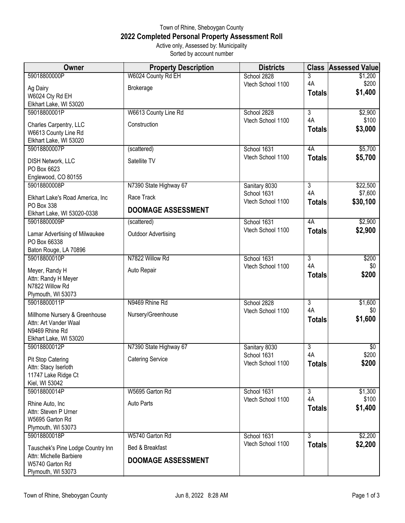## Town of Rhine, Sheboygan County **2022 Completed Personal Property Assessment Roll** Active only, Assessed by: Municipality

Sorted by account number

| Owner                                   | <b>Property Description</b> | <b>Districts</b>                 | <b>Class</b>         | <b>Assessed Value</b> |
|-----------------------------------------|-----------------------------|----------------------------------|----------------------|-----------------------|
| 59018800000P                            | W6024 County Rd EH          | School 2828                      | 3                    | \$1,200               |
| Ag Dairy                                | <b>Brokerage</b>            | Vtech School 1100                | 4A                   | \$200                 |
| W6024 Cty Rd EH                         |                             |                                  | <b>Totals</b>        | \$1,400               |
| Elkhart Lake, WI 53020                  |                             |                                  |                      |                       |
| 59018800001P                            | W6613 County Line Rd        | School 2828                      | $\overline{3}$       | \$2,900               |
| Charles Carpentry, LLC                  | Construction                | Vtech School 1100                | 4A                   | \$100                 |
| W6613 County Line Rd                    |                             |                                  | <b>Totals</b>        | \$3,000               |
| Elkhart Lake, WI 53020                  |                             |                                  |                      |                       |
| 59018800007P                            | (scattered)                 | School 1631                      | 4A                   | \$5,700               |
| <b>DISH Network, LLC</b>                | Satellite TV                | Vtech School 1100                | <b>Totals</b>        | \$5,700               |
| PO Box 6623                             |                             |                                  |                      |                       |
| Englewood, CO 80155                     |                             |                                  |                      |                       |
| 59018800008P                            | N7390 State Highway 67      | Sanitary 8030<br>School 1631     | $\overline{3}$<br>4A | \$22,500<br>\$7,600   |
| Elkhart Lake's Road America, Inc        | Race Track                  | Vtech School 1100                | <b>Totals</b>        | \$30,100              |
| PO Box 338                              | <b>DOOMAGE ASSESSMENT</b>   |                                  |                      |                       |
| Elkhart Lake, WI 53020-0338             |                             |                                  |                      |                       |
| 59018800009P                            | (scattered)                 | School 1631<br>Vtech School 1100 | 4A<br><b>Totals</b>  | \$2,900<br>\$2,900    |
| Lamar Advertising of Milwaukee          | <b>Outdoor Advertising</b>  |                                  |                      |                       |
| PO Box 66338                            |                             |                                  |                      |                       |
| Baton Rouge, LA 70896<br>59018800010P   | N7822 Willow Rd             |                                  |                      |                       |
|                                         |                             | School 1631<br>Vtech School 1100 | 3<br>4A              | \$200<br>\$0          |
| Meyer, Randy H                          | Auto Repair                 |                                  | <b>Totals</b>        | \$200                 |
| Attn: Randy H Meyer                     |                             |                                  |                      |                       |
| N7822 Willow Rd                         |                             |                                  |                      |                       |
| Plymouth, WI 53073<br>59018800011P      | N9469 Rhine Rd              | School 2828                      | $\overline{3}$       | \$1,600               |
|                                         |                             | Vtech School 1100                | 4A                   | \$0                   |
| Millhome Nursery & Greenhouse           | Nursery/Greenhouse          |                                  | <b>Totals</b>        | \$1,600               |
| Attn: Art Vander Waal<br>N9469 Rhine Rd |                             |                                  |                      |                       |
| Elkhart Lake, WI 53020                  |                             |                                  |                      |                       |
| 59018800012P                            | N7390 State Highway 67      | Sanitary 8030                    | $\overline{3}$       | $\overline{50}$       |
| Pit Stop Catering                       | <b>Catering Service</b>     | School 1631                      | 4A                   | \$200                 |
| Attn: Stacy Iserloth                    |                             | Vtech School 1100                | <b>Totals</b>        | \$200                 |
| 11747 Lake Ridge Ct                     |                             |                                  |                      |                       |
| Kiel, WI 53042                          |                             |                                  |                      |                       |
| 59018800014P                            | W5695 Garton Rd             | School 1631                      | 3                    | \$1,300               |
| Rhine Auto, Inc                         | <b>Auto Parts</b>           | Vtech School 1100                | 4A                   | \$100                 |
| Attn: Steven P Urner                    |                             |                                  | <b>Totals</b>        | \$1,400               |
| W5695 Garton Rd                         |                             |                                  |                      |                       |
| Plymouth, WI 53073                      |                             |                                  |                      |                       |
| 59018800018P                            | W5740 Garton Rd             | School 1631                      | $\overline{3}$       | \$2,200               |
| Tauschek's Pine Lodge Country Inn       | Bed & Breakfast             | Vtech School 1100                | <b>Totals</b>        | \$2,200               |
| Attn: Michelle Barbiere                 | <b>DOOMAGE ASSESSMENT</b>   |                                  |                      |                       |
| W5740 Garton Rd                         |                             |                                  |                      |                       |
| Plymouth, WI 53073                      |                             |                                  |                      |                       |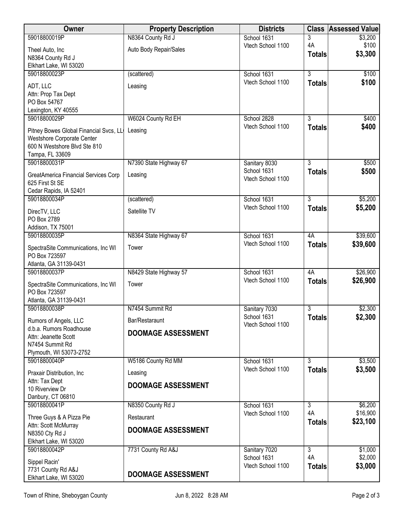| Owner                                               | <b>Property Description</b> | <b>Districts</b>                 | <b>Class</b>   | <b>Assessed Value</b> |
|-----------------------------------------------------|-----------------------------|----------------------------------|----------------|-----------------------|
| 59018800019P                                        | N8364 County Rd J           | School 1631                      | 3              | \$3,200               |
| Theel Auto, Inc                                     | Auto Body Repair/Sales      | Vtech School 1100                | 4A             | \$100<br>\$3,300      |
| N8364 County Rd J                                   |                             |                                  | <b>Totals</b>  |                       |
| Elkhart Lake, WI 53020<br>59018800023P              | (scattered)                 | School 1631                      | $\overline{3}$ | \$100                 |
|                                                     |                             | Vtech School 1100                | <b>Totals</b>  | \$100                 |
| ADT, LLC                                            | Leasing                     |                                  |                |                       |
| Attn: Prop Tax Dept<br>PO Box 54767                 |                             |                                  |                |                       |
| Lexington, KY 40555                                 |                             |                                  |                |                       |
| 59018800029P                                        | W6024 County Rd EH          | School 2828                      | 3              | \$400                 |
| Pitney Bowes Global Financial Svcs, LL              | Leasing                     | Vtech School 1100                | <b>Totals</b>  | \$400                 |
| Westshore Corporate Center                          |                             |                                  |                |                       |
| 600 N Westshore Blvd Ste 810                        |                             |                                  |                |                       |
| Tampa, FL 33609                                     |                             |                                  |                |                       |
| 59018800031P                                        | N7390 State Highway 67      | Sanitary 8030<br>School 1631     | $\overline{3}$ | \$500                 |
| GreatAmerica Financial Services Corp                | Leasing                     | Vtech School 1100                | <b>Totals</b>  | \$500                 |
| 625 First St SE                                     |                             |                                  |                |                       |
| Cedar Rapids, IA 52401<br>59018800034P              | (scattered)                 | School 1631                      | 3              | \$5,200               |
|                                                     |                             | Vtech School 1100                | <b>Totals</b>  | \$5,200               |
| DirecTV, LLC                                        | Satellite TV                |                                  |                |                       |
| PO Box 2789<br>Addison, TX 75001                    |                             |                                  |                |                       |
| 59018800035P                                        | N8364 State Highway 67      | School 1631                      | 4A             | \$39,600              |
|                                                     | Tower                       | Vtech School 1100                | <b>Totals</b>  | \$39,600              |
| SpectraSite Communications, Inc WI<br>PO Box 723597 |                             |                                  |                |                       |
| Atlanta, GA 31139-0431                              |                             |                                  |                |                       |
| 59018800037P                                        | N8429 State Highway 57      | School 1631                      | 4A             | \$26,900              |
| SpectraSite Communications, Inc WI                  | Tower                       | Vtech School 1100                | <b>Totals</b>  | \$26,900              |
| PO Box 723597                                       |                             |                                  |                |                       |
| Atlanta, GA 31139-0431                              |                             |                                  |                |                       |
| 59018800038P                                        | N7454 Summit Rd             | Sanitary 7030                    | 3              | \$2,300               |
| Rumors of Angels, LLC                               | Bar/Restaraunt              | School 1631<br>Vtech School 1100 | <b>Totals</b>  | \$2,300               |
| d.b.a. Rumors Roadhouse                             | <b>DOOMAGE ASSESSMENT</b>   |                                  |                |                       |
| Attn: Jeanette Scott<br>N7454 Summit Rd             |                             |                                  |                |                       |
| Plymouth, WI 53073-2752                             |                             |                                  |                |                       |
| 59018800040P                                        | W5186 County Rd MM          | School 1631                      | 3              | \$3,500               |
| Praxair Distribution, Inc.                          | Leasing                     | Vtech School 1100                | <b>Totals</b>  | \$3,500               |
| Attn: Tax Dept                                      |                             |                                  |                |                       |
| 10 Riverview Dr                                     | <b>DOOMAGE ASSESSMENT</b>   |                                  |                |                       |
| Danbury, CT 06810                                   |                             |                                  |                |                       |
| 59018800041P                                        | N8350 County Rd J           | School 1631                      | 3              | \$6,200               |
| Three Guys & A Pizza Pie                            | Restaurant                  | Vtech School 1100                | 4A             | \$16,900<br>\$23,100  |
| Attn: Scott McMurray                                | <b>DOOMAGE ASSESSMENT</b>   |                                  | <b>Totals</b>  |                       |
| N8350 Cty Rd J                                      |                             |                                  |                |                       |
| Elkhart Lake, WI 53020<br>59018800042P              | 7731 County Rd A&J          | Sanitary 7020                    | $\overline{3}$ | \$1,000               |
|                                                     |                             | School 1631                      | 4A             | \$2,000               |
| Sippel Racin'<br>7731 County Rd A&J                 |                             | Vtech School 1100                | <b>Totals</b>  | \$3,000               |
| Elkhart Lake, WI 53020                              | <b>DOOMAGE ASSESSMENT</b>   |                                  |                |                       |